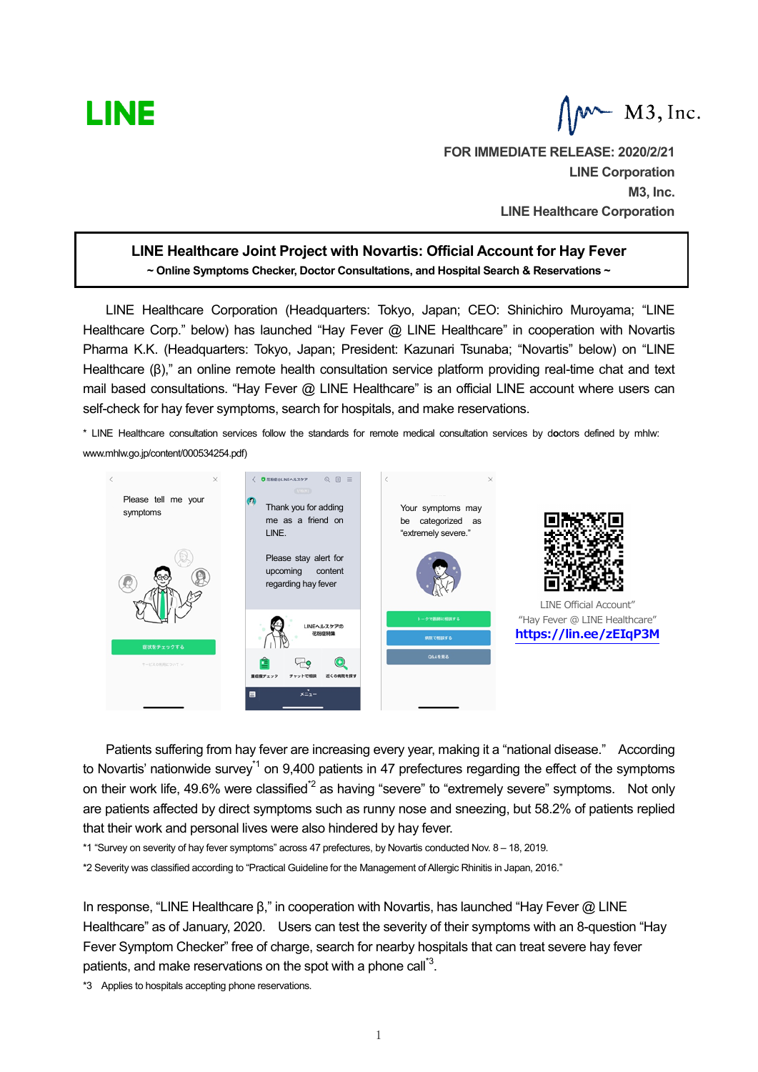

**FOR IMMEDIATE RELEASE: 2020/2/21 LINE Corporation M3, Inc. LINE Healthcare Corporation**

# **LINE Healthcare Joint Project with Novartis: Official Account for Hay Fever ~ Online Symptoms Checker, Doctor Consultations, and Hospital Search & Reservations ~**

LINE Healthcare Corporation (Headquarters: Tokyo, Japan; CEO: Shinichiro Muroyama; "LINE Healthcare Corp." below) has launched "Hay Fever @ LINE Healthcare" in cooperation with Novartis Pharma K.K. (Headquarters: Tokyo, Japan; President: Kazunari Tsunaba; "Novartis" below) on "LINE Healthcare (β)," an online remote health consultation service platform providing real-time chat and text mail based consultations. "Hay Fever @ LINE Healthcare" is an official LINE account where users can self-check for hay fever symptoms, search for hospitals, and make reservations.

\* LINE Healthcare consultation services follow the standards for remote medical consultation services by d**o**ctors defined by mhlw: [www.mhlw.go.jp/content/000534254.pdf\)](http://www.mhlw.go.jp/content/000534254.pdf))



Patients suffering from hay fever are increasing every year, making it a "national disease." According to Novartis' nationwide survey<sup>\*1</sup> on 9,400 patients in 47 prefectures regarding the effect of the symptoms on their work life, 49.6% were classified<sup>\*2</sup> as having "severe" to "extremely severe" symptoms. Not only are patients affected by direct symptoms such as runny nose and sneezing, but 58.2% of patients replied that their work and personal lives were also hindered by hay fever.

\*1 "Survey on severity of hay fever symptoms" across 47 prefectures, by Novartis conducted Nov. 8 – 18, 2019.

\*2 Severity was classified according to "Practical Guideline for the Management of Allergic Rhinitis in Japan, 2016."

In response, "LINE Healthcare β," in cooperation with Novartis, has launched "Hay Fever @ LINE Healthcare" as of January, 2020. Users can test the severity of their symptoms with an 8-question "Hay Fever Symptom Checker" free of charge, search for nearby hospitals that can treat severe hay fever patients, and make reservations on the spot with a phone call<sup>"3</sup>.

\*3 Applies to hospitals accepting phone reservations.